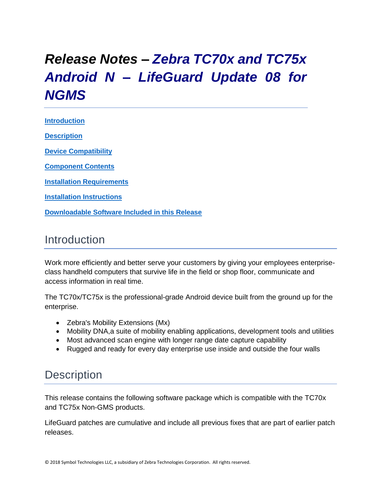# <span id="page-0-0"></span>*Release Notes – Zebra TC70x and TC75x Android N – LifeGuard Update 08 for NGMS*

**[Introduction](#page-0-0) [Description](#page-0-1)**

**[Device Compatibility](#page-3-0)**

**[Component Contents](#page-4-0)**

**[Installation Requirements](#page-4-1)**

**Installation [Instructions](#page-4-2)**

**[Downloadable Software Included in this Release](#page-8-0)**

### Introduction

Work more efficiently and better serve your customers by giving your employees enterpriseclass handheld computers that survive life in the field or shop floor, communicate and access information in real time.

The TC70x/TC75x is the professional-grade Android device built from the ground up for the enterprise.

- Zebra's Mobility Extensions (Mx)
- Mobility DNA, a suite of mobility enabling applications, development tools and utilities
- Most advanced scan engine with longer range date capture capability
- Rugged and ready for every day enterprise use inside and outside the four walls

### <span id="page-0-1"></span>**Description**

This release contains the following software package which is compatible with the TC70x and TC75x Non-GMS products.

LifeGuard patches are cumulative and include all previous fixes that are part of earlier patch releases.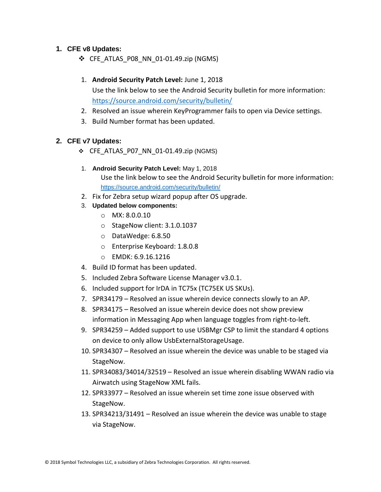### **1. CFE v8 Updates:**

 $\div$  CFE ATLAS P08 NN 01-01.49.zip (NGMS)

### 1. **Android Security Patch Level:** June 1, 2018

Use the link below to see the Android Security bulletin for more information: <https://source.android.com/security/bulletin/>

- 2. Resolved an issue wherein KeyProgrammer fails to open via Device settings.
- 3. Build Number format has been updated.

#### **2. CFE v7 Updates:**

- ❖ CFE\_ATLAS\_P07\_NN\_01-01.49.zip (NGMS)
- 1. **Android Security Patch Level:** May 1, 2018 Use the link below to see the Android Security bulletin for more information: <https://source.android.com/security/bulletin/>
- 2. Fix for Zebra setup wizard popup after OS upgrade.
- 3. **Updated below components:**
	- o MX: 8.0.0.10
	- o StageNow client: 3.1.0.1037
	- o DataWedge: 6.8.50
	- o Enterprise Keyboard: 1.8.0.8
	- o EMDK: 6.9.16.1216
- 4. Build ID format has been updated.
- 5. Included Zebra Software License Manager v3.0.1.
- 6. Included support for IrDA in TC75x (TC75EK US SKUs).
- 7. SPR34179 Resolved an issue wherein device connects slowly to an AP.
- 8. SPR34175 Resolved an issue wherein device does not show preview information in Messaging App when language toggles from right-to-left.
- 9. SPR34259 Added support to use USBMgr CSP to limit the standard 4 options on device to only allow UsbExternalStorageUsage.
- 10. SPR34307 Resolved an issue wherein the device was unable to be staged via StageNow.
- 11. SPR34083/34014/32519 Resolved an issue wherein disabling WWAN radio via Airwatch using StageNow XML fails.
- 12. SPR33977 Resolved an issue wherein set time zone issue observed with StageNow.
- 13. SPR34213/31491 Resolved an issue wherein the device was unable to stage via StageNow.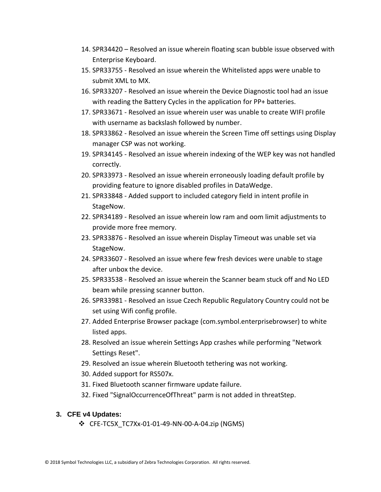- 14. SPR34420 Resolved an issue wherein floating scan bubble issue observed with Enterprise Keyboard.
- 15. SPR33755 Resolved an issue wherein the Whitelisted apps were unable to submit XML to MX.
- 16. SPR33207 Resolved an issue wherein the Device Diagnostic tool had an issue with reading the Battery Cycles in the application for PP+ batteries.
- 17. SPR33671 Resolved an issue wherein user was unable to create WIFI profile with username as backslash followed by number.
- 18. SPR33862 Resolved an issue wherein the Screen Time off settings using Display manager CSP was not working.
- 19. SPR34145 Resolved an issue wherein indexing of the WEP key was not handled correctly.
- 20. SPR33973 Resolved an issue wherein erroneously loading default profile by providing feature to ignore disabled profiles in DataWedge.
- 21. SPR33848 Added support to included category field in intent profile in StageNow.
- 22. SPR34189 Resolved an issue wherein low ram and oom limit adjustments to provide more free memory.
- 23. SPR33876 Resolved an issue wherein Display Timeout was unable set via StageNow.
- 24. SPR33607 Resolved an issue where few fresh devices were unable to stage after unbox the device.
- 25. SPR33538 Resolved an issue wherein the Scanner beam stuck off and No LED beam while pressing scanner button.
- 26. SPR33981 Resolved an issue Czech Republic Regulatory Country could not be set using Wifi config profile.
- 27. Added Enterprise Browser package (com.symbol.enterprisebrowser) to white listed apps.
- 28. Resolved an issue wherein Settings App crashes while performing "Network Settings Reset".
- 29. Resolved an issue wherein Bluetooth tethering was not working.
- 30. Added support for RS507x.
- 31. Fixed Bluetooth scanner firmware update failure.
- 32. Fixed "SignalOccurrenceOfThreat" parm is not added in threatStep.

#### **3. CFE v4 Updates:**

❖ CFE-TC5X\_TC7Xx-01-01-49-NN-00-A-04.zip (NGMS)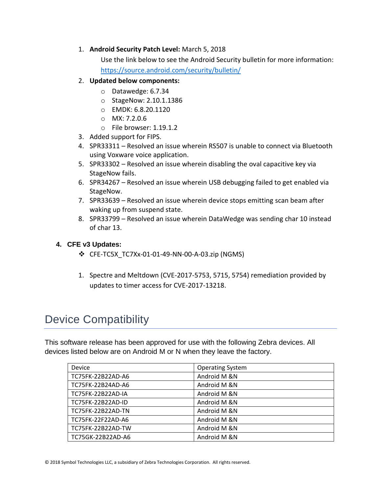### 1. **Android Security Patch Level:** March 5, 2018

Use the link below to see the Android Security bulletin for more information: <https://source.android.com/security/bulletin/>

### 2. **Updated below components:**

- o Datawedge: 6.7.34
- o StageNow: 2.10.1.1386
- o EMDK: 6.8.20.1120
- o MX: 7.2.0.6
- o File browser: 1.19.1.2
- 3. Added support for FIPS.
- 4. SPR33311 Resolved an issue wherein RS507 is unable to connect via Bluetooth using Voxware voice application.
- 5. SPR33302 Resolved an issue wherein disabling the oval capacitive key via StageNow fails.
- 6. SPR34267 Resolved an issue wherein USB debugging failed to get enabled via StageNow.
- 7. SPR33639 Resolved an issue wherein device stops emitting scan beam after waking up from suspend state.
- 8. SPR33799 Resolved an issue wherein DataWedge was sending char 10 instead of char 13.

### **4. CFE v3 Updates:**

- ❖ CFE-TC5X\_TC7Xx-01-01-49-NN-00-A-03.zip (NGMS)
- 1. Spectre and Meltdown (CVE-2017-5753, 5715, 5754) remediation provided by updates to timer access for CVE-2017-13218.

# <span id="page-3-0"></span>Device Compatibility

This software release has been approved for use with the following Zebra devices. All devices listed below are on Android M or N when they leave the factory.

| Device                   | <b>Operating System</b> |  |
|--------------------------|-------------------------|--|
| TC75FK-22B22AD-A6        | Android M &N            |  |
| TC75FK-22B24AD-A6        | Android M &N            |  |
| <b>TC75FK-22B22AD-IA</b> | Android M &N            |  |
| TC75FK-22B22AD-ID        | Android M &N            |  |
| TC75FK-22B22AD-TN        | Android M &N            |  |
| TC75FK-22F22AD-A6        | Android M &N            |  |
| TC75FK-22B22AD-TW        | Android M &N            |  |
| TC75GK-22B22AD-A6        | Android M &N            |  |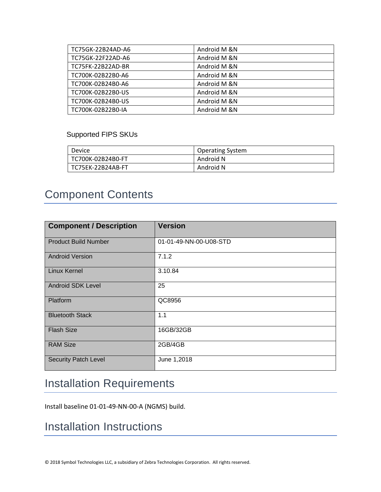| TC75GK-22B24AD-A6 | Android M &N |
|-------------------|--------------|
| TC75GK-22F22AD-A6 | Android M &N |
| TC75FK-22B22AD-BR | Android M &N |
| TC700K-02B22B0-A6 | Android M &N |
| TC700K-02B24B0-A6 | Android M &N |
| TC700K-02B22B0-US | Android M &N |
| TC700K-02B24B0-US | Android M &N |
| TC700K-02B22B0-IA | Android M &N |

### Supported FIPS SKUs

| Device            | <b>Operating System</b> |
|-------------------|-------------------------|
| TC700K-02B24B0-FT | Android N               |
| TC75EK-22B24AB-FT | Android N               |

# <span id="page-4-0"></span>Component Contents

| <b>Component / Description</b> | <b>Version</b>         |
|--------------------------------|------------------------|
| <b>Product Build Number</b>    | 01-01-49-NN-00-U08-STD |
| <b>Android Version</b>         | 7.1.2                  |
| Linux Kernel                   | 3.10.84                |
| <b>Android SDK Level</b>       | 25                     |
| Platform                       | QC8956                 |
| <b>Bluetooth Stack</b>         | 1.1                    |
| <b>Flash Size</b>              | 16GB/32GB              |
| <b>RAM Size</b>                | 2GB/4GB                |
| <b>Security Patch Level</b>    | June 1,2018            |

# <span id="page-4-1"></span>Installation Requirements

Install baseline 01-01-49-NN-00-A (NGMS) build.

### <span id="page-4-2"></span>Installation Instructions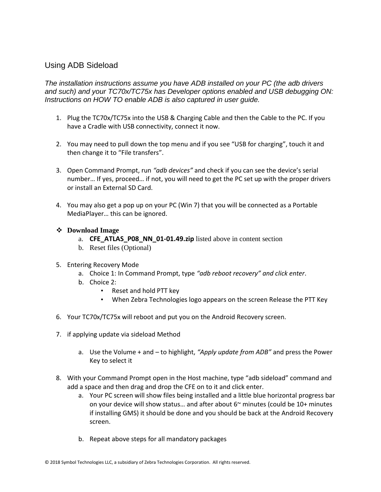### Using ADB Sideload

*The installation instructions assume you have ADB installed on your PC (the adb drivers and such) and your TC70x/TC75x has Developer options enabled and USB debugging ON: Instructions on HOW TO enable ADB is also captured in user guide.*

- 1. Plug the TC70x/TC75x into the USB & Charging Cable and then the Cable to the PC. If you have a Cradle with USB connectivity, connect it now.
- 2. You may need to pull down the top menu and if you see "USB for charging", touch it and then change it to "File transfers".
- 3. Open Command Prompt, run *"adb devices"* and check if you can see the device's serial number… If yes, proceed… if not, you will need to get the PC set up with the proper drivers or install an External SD Card.
- 4. You may also get a pop up on your PC (Win 7) that you will be connected as a Portable MediaPlayer… this can be ignored.

#### ❖ **Download Image**

- a. **CFE\_ATLAS\_P08\_NN\_01-01.49.zip** listed above in content section
- b. Reset files (Optional)
- 5. Entering Recovery Mode
	- a. Choice 1: In Command Prompt, type *"adb reboot recovery" and click enter*.
	- b. Choice 2:
		- Reset and hold PTT key
		- When Zebra Technologies logo appears on the screen Release the PTT Key
- 6. Your TC70x/TC75x will reboot and put you on the Android Recovery screen.
- 7. if applying update via sideload Method
	- a. Use the Volume + and to highlight, *"Apply update from ADB"* and press the Power Key to select it
- 8. With your Command Prompt open in the Host machine, type "adb sideload" command and add a space and then drag and drop the CFE on to it and click enter.
	- a. Your PC screen will show files being installed and a little blue horizontal progress bar on your device will show status... and after about  $6<sup>th</sup>$  minutes (could be 10+ minutes if installing GMS) it should be done and you should be back at the Android Recovery screen.
	- b. Repeat above steps for all mandatory packages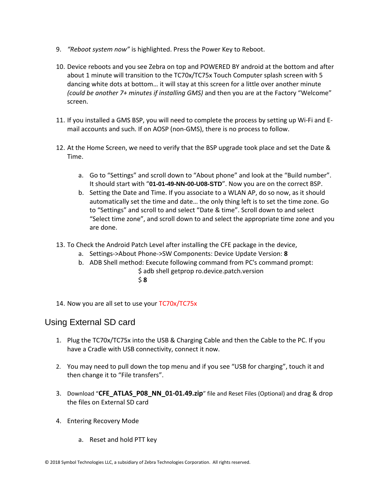- 9. *"Reboot system now"* is highlighted. Press the Power Key to Reboot.
- 10. Device reboots and you see Zebra on top and POWERED BY android at the bottom and after about 1 minute will transition to the TC70x/TC75x Touch Computer splash screen with 5 dancing white dots at bottom… it will stay at this screen for a little over another minute *(could be another 7+ minutes if installing GMS)* and then you are at the Factory "Welcome" screen.
- 11. If you installed a GMS BSP, you will need to complete the process by setting up Wi‐Fi and E‐ mail accounts and such. If on AOSP (non‐GMS), there is no process to follow.
- 12. At the Home Screen, we need to verify that the BSP upgrade took place and set the Date & Time.
	- a. Go to "Settings" and scroll down to "About phone" and look at the "Build number". It should start with "**01-01-49-NN-00-U08-STD**". Now you are on the correct BSP.
	- b. Setting the Date and Time. If you associate to a WLAN AP, do so now, as it should automatically set the time and date… the only thing left is to set the time zone. Go to "Settings" and scroll to and select "Date & time". Scroll down to and select "Select time zone", and scroll down to and select the appropriate time zone and you are done.
- 13. To Check the Android Patch Level after installing the CFE package in the device,
	- a. Settings->About Phone->SW Components: Device Update Version: **8**
	- b. ADB Shell method: Execute following command from PC's command prompt: \$ adb shell getprop ro.device.patch.version \$ **8**
- 14. Now you are all set to use your TC70x/TC75x

### Using External SD card

- 1. Plug the TC70x/TC75x into the USB & Charging Cable and then the Cable to the PC. If you have a Cradle with USB connectivity, connect it now.
- 2. You may need to pull down the top menu and if you see "USB for charging", touch it and then change it to "File transfers".
- 3. Download "**CFE\_ATLAS\_P08\_NN\_01-01.49.zip**" file and Reset Files (Optional) and drag & drop the files on External SD card
- 4. Entering Recovery Mode
	- a. Reset and hold PTT key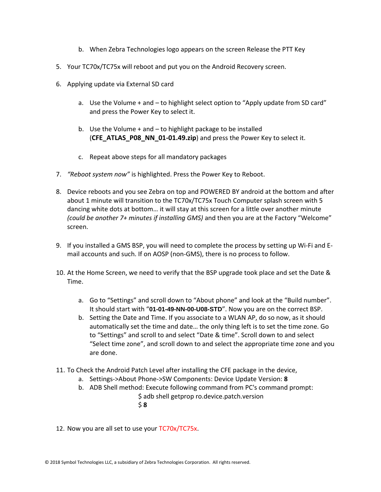- b. When Zebra Technologies logo appears on the screen Release the PTT Key
- 5. Your TC70x/TC75x will reboot and put you on the Android Recovery screen.
- 6. Applying update via External SD card
	- a. Use the Volume + and to highlight select option to "Apply update from SD card" and press the Power Key to select it.
	- b. Use the Volume  $+$  and  $-$  to highlight package to be installed (**CFE\_ATLAS\_P08\_NN\_01-01.49.zip**) and press the Power Key to select it.
	- c. Repeat above steps for all mandatory packages
- 7. *"Reboot system now"* is highlighted. Press the Power Key to Reboot.
- 8. Device reboots and you see Zebra on top and POWERED BY android at the bottom and after about 1 minute will transition to the TC70x/TC75x Touch Computer splash screen with 5 dancing white dots at bottom… it will stay at this screen for a little over another minute *(could be another 7+ minutes if installing GMS)* and then you are at the Factory "Welcome" screen.
- 9. If you installed a GMS BSP, you will need to complete the process by setting up Wi‐Fi and E‐ mail accounts and such. If on AOSP (non‐GMS), there is no process to follow.
- 10. At the Home Screen, we need to verify that the BSP upgrade took place and set the Date & Time.
	- a. Go to "Settings" and scroll down to "About phone" and look at the "Build number". It should start with "**01-01-49-NN-00-U08-STD**". Now you are on the correct BSP.
	- b. Setting the Date and Time. If you associate to a WLAN AP, do so now, as it should automatically set the time and date… the only thing left is to set the time zone. Go to "Settings" and scroll to and select "Date & time". Scroll down to and select "Select time zone", and scroll down to and select the appropriate time zone and you are done.
- 11. To Check the Android Patch Level after installing the CFE package in the device,
	- a. Settings->About Phone->SW Components: Device Update Version: **8**
	- b. ADB Shell method: Execute following command from PC's command prompt: \$ adb shell getprop ro.device.patch.version \$ **8**
- 12. Now you are all set to use your TC70x/TC75x.